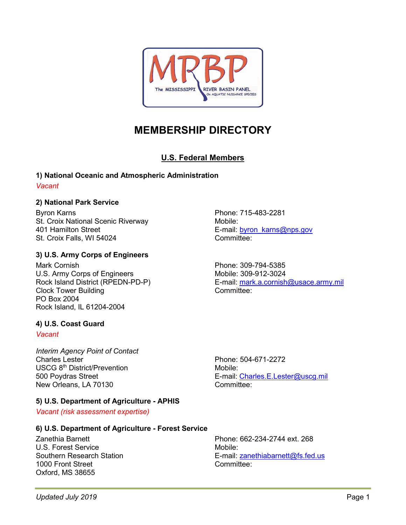

# **MEMBERSHIP DIRECTORY**

# **U.S. Federal Members**

# **1) National Oceanic and Atmospheric Administration**

#### *Vacant*

# **2) National Park Service**

Byron Karns St. Croix National Scenic Riverway 401 Hamilton Street St. Croix Falls, WI 54024

# **3) U.S. Army Corps of Engineers**

Mark Cornish U.S. Army Corps of Engineers Rock Island District (RPEDN-PD-P) Clock Tower Building PO Box 2004 Rock Island, IL 61204-2004

# **4) U.S. Coast Guard**

#### *Vacant*

*Interim Agency Point of Contact* Charles Lester USCG 8th District/Prevention 500 Poydras Street New Orleans, LA 70130

# **5) U.S. Department of Agriculture - APHIS**

*Vacant (risk assessment expertise)*

# **6) U.S. Department of Agriculture - Forest Service**

Zanethia Barnett U.S. Forest Service Southern Research Station 1000 Front Street Oxford, MS 38655

Phone: 662-234-2744 ext. 268 Mobile: E-mail: [zanethiabarnett@fs.fed.us](mailto:zanethiabarnett@fs.fed.us) Committee:

E-mail: [Charles.E.Lester@uscg.mil](mailto:Charles.E.Lester@uscg.mil)

Phone: 504-671-2272

Mobile:

Committee:

Phone: 715-483-2281 Mobile: E-mail: [byron\\_karns@nps.gov](mailto:byron_karns@nps.gov) Committee:

Phone: 309-794-5385 Mobile: 309-912-3024 E-mail: [mark.a.cornish@usace.army.mil](mailto:mark.a.cornish@usace.army.mil) Committee: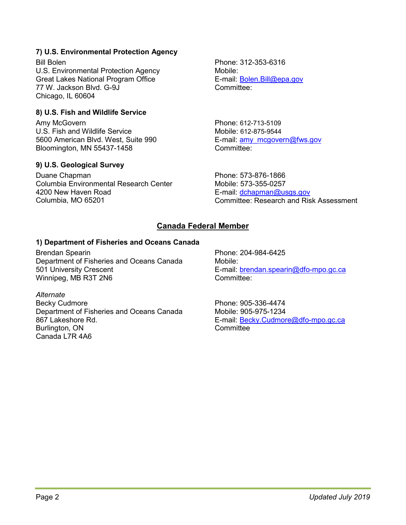## **7) U.S. Environmental Protection Agency**

Bill Bolen U.S. Environmental Protection Agency Great Lakes National Program Office 77 W. Jackson Blvd. G-9J Chicago, IL 60604

#### **8) U.S. Fish and Wildlife Service**

Amy McGovern U.S. Fish and Wildlife Service 5600 American Blvd. West, Suite 990 Bloomington, MN 55437-1458

#### **9) U.S. Geological Survey**

Duane Chapman Columbia Environmental Research Center 4200 New Haven Road Columbia, MO 65201

Phone: 312-353-6316 Mobile: E-mail: [Bolen.Bill@epa.gov](mailto:Bolen.Bill@epa.gov) Committee:

Phone: 612-713-5109 Mobile: 612-875-9544 E-mail: [amy\\_mcgovern@fws.gov](mailto:amy_mcgovern@fws.gov) Committee:

Phone: 573-876-1866 Mobile: 573-355-0257 E-mail: [dchapman@usgs.gov](mailto:dchapman@usgs.gov) Committee: Research and Risk Assessment

# **Canada Federal Member**

#### **1) Department of Fisheries and Oceans Canada**

Brendan Spearin Department of Fisheries and Oceans Canada 501 University Crescent Winnipeg, MB R3T 2N6

#### *Alternate*

Becky Cudmore Department of Fisheries and Oceans Canada 867 Lakeshore Rd. Burlington, ON Canada L7R 4A6

Phone: 204-984-6425 Mobile: E-mail: [brendan.spearin@dfo-mpo.gc.ca](mailto:brendan.spearin@dfo-mpo.gc.ca) Committee:

Phone: 905-336-4474 Mobile: 905-975-1234 E-mail: [Becky.Cudmore@dfo-mpo.gc.ca](mailto:Becky.Cudmore@dfo-mpo.gc.ca) **Committee**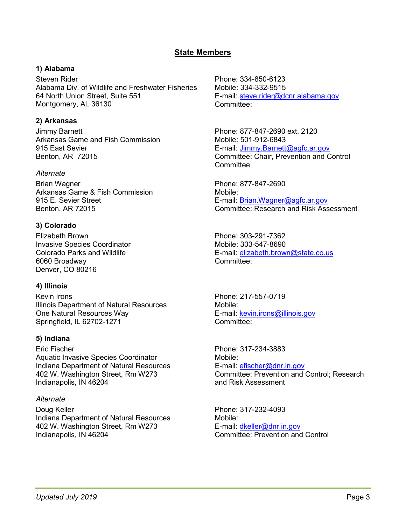# **State Members**

#### **1) Alabama**

Steven Rider Alabama Div. of Wildlife and Freshwater Fisheries 64 North Union Street, Suite 551 Montgomery, AL 36130

### **2) Arkansas**

Jimmy Barnett Arkansas Game and Fish Commission 915 East Sevier Benton, AR 72015

#### *Alternate*

Brian Wagner Arkansas Game & Fish Commission 915 E. Sevier Street Benton, AR 72015

### **3) Colorado**

Elizabeth Brown Invasive Species Coordinator Colorado Parks and Wildlife 6060 Broadway Denver, CO 80216

# **4) Illinois**

Kevin Irons Illinois Department of Natural Resources One Natural Resources Way Springfield, IL 62702-1271

# **5) Indiana**

Eric Fischer Aquatic Invasive Species Coordinator Indiana Department of Natural Resources 402 W. Washington Street, Rm W273 Indianapolis, IN 46204

#### *Alternate*

Doug Keller Indiana Department of Natural Resources 402 W. Washington Street, Rm W273 Indianapolis, IN 46204

Phone: 334-850-6123 Mobile: 334-332-9515 E-mail: [steve.rider@dcnr.alabama.g](mailto:steve.rider@dcnr.alabama.)ov Committee:

Phone: 877-847-2690 ext. 2120 Mobile: 501-912-6843 E-mail: [Jimmy.Barnett@agfc.ar.gov](mailto:Jimmy.Barnett@agfc.ar.gov) Committee: Chair, Prevention and Control **Committee** 

Phone: 877-847-2690 Mobile: E-mail: [Brian.Wagner@agfc.ar.gov](mailto:Brian.Wagner@agfc.ar.gov) Committee: Research and Risk Assessment

Phone: 303-291-7362 Mobile: 303-547-8690 E-mail: [elizabeth.brown@state.co.us](mailto:elizabeth.brown@state.co.us) Committee:

Phone: 217-557-0719 Mobile: E-mail: [kevin.irons@illinois.gov](mailto:kevin.irons@illinois.gov) Committee:

Phone: 317-234-3883 Mobile: E-mail: [efischer@dnr.in.gov](mailto:efischer@dnr.in.gov) Committee: Prevention and Control; Research and Risk Assessment

Phone: 317-232-4093 Mobile: E-mail: [dkeller@dnr.in.gov](mailto:dkeller@dnr.in.gov) Committee: Prevention and Control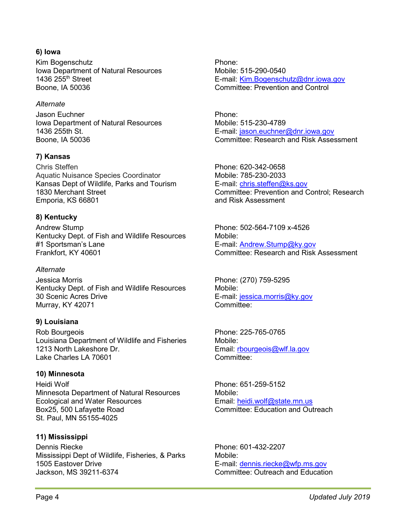#### **6) Iowa**

Kim Bogenschutz Iowa Department of Natural Resources 1436 255th Street Boone, IA 50036

#### *Alternate*

Jason Euchner Iowa Department of Natural Resources 1436 255th St. Boone, IA 50036

### **7) Kansas**

Chris Steffen Aquatic Nuisance Species Coordinator Kansas Dept of Wildlife, Parks and Tourism 1830 Merchant Street Emporia, KS 66801

### **8) Kentucky**

Andrew Stump Kentucky Dept. of Fish and Wildlife Resources #1 Sportsman's Lane Frankfort, KY 40601

#### *Alternate*

Jessica Morris Kentucky Dept. of Fish and Wildlife Resources 30 Scenic Acres Drive Murray, KY 42071

#### **9) Louisiana**

Rob Bourgeois Louisiana Department of Wildlife and Fisheries 1213 North Lakeshore Dr. Lake Charles LA 70601

#### **10) Minnesota**

Heidi Wolf Minnesota Department of Natural Resources Ecological and Water Resources Box25, 500 Lafayette Road St. Paul, MN 55155-4025

#### **11) Mississippi**

Dennis Riecke Mississippi Dept of Wildlife, Fisheries, & Parks 1505 Eastover Drive Jackson, MS 39211-6374

Phone: Mobile: 515-290-0540 E-mail: [Kim.Bogenschutz@dnr.iowa.gov](mailto:Kim.Bogenschutz@dnr.iowa.gov) Committee: Prevention and Control

Phone: Mobile: 515-230-4789 E-mail: [jason.euchner@dnr.iowa.gov](mailto:jason.euchner@dnr.iowa.gov) Committee: Research and Risk Assessment

Phone: 620-342-0658 Mobile: 785-230-2033 E-mail: [chris.steffen@ks.gov](mailto:chris.steffen@ks.gov) Committee: Prevention and Control; Research and Risk Assessment

Phone: 502-564-7109 x-4526 Mobile: E-mail: [Andrew.Stump@ky.gov](mailto:Andrew.Stump@ky.gov)  Committee: Research and Risk Assessment

Phone: (270) 759-5295 Mobile: E-mail: [jessica.morris@ky.gov](mailto:jessica.morris@ky.gov) Committee:

Phone: 225-765-0765 Mobile: Email: [rbourgeois@wlf.la.gov](mailto:rbourgeois@wlf.la.gov) Committee:

Phone: 651-259-5152 Mobile: Email: [heidi.wolf@state.mn.us](mailto:heidi.wolf@state.mn.us) Committee: Education and Outreach

Phone: 601-432-2207 Mobile: E-mail: dennis.riecke@wfp.ms.gov Committee: Outreach and Education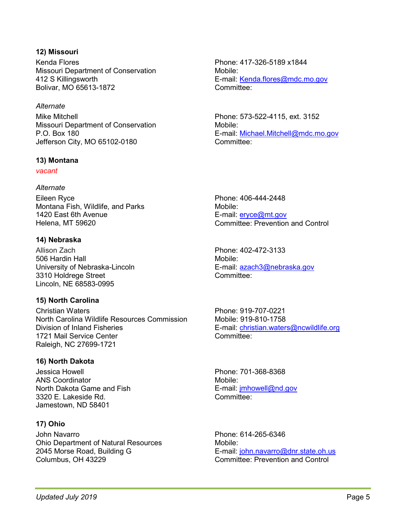#### **12) Missouri**

Kenda Flores Missouri Department of Conservation 412 S Killingsworth Bolivar, MO 65613-1872

#### *Alternate*

Mike Mitchell Missouri Department of Conservation P.O. Box 180 Jefferson City, MO 65102-0180

#### **13) Montana**

*vacant*

#### *Alternate*

Eileen Ryce Montana Fish, Wildlife, and Parks 1420 East 6th Avenue Helena, MT 59620

#### **14) Nebraska**

Allison Zach 506 Hardin Hall University of Nebraska-Lincoln 3310 Holdrege Street Lincoln, NE 68583-0995

#### **15) North Carolina**

Christian Waters North Carolina Wildlife Resources Commission Division of Inland Fisheries 1721 Mail Service Center Raleigh, NC 27699-1721

#### **16) North Dakota**

Jessica Howell ANS Coordinator North Dakota Game and Fish 3320 E. Lakeside Rd. Jamestown, ND 58401

# **17) Ohio**

John Navarro Ohio Department of Natural Resources 2045 Morse Road, Building G Columbus, OH 43229

Phone: 417-326-5189 x1844 Mobile: E-mail: [Kenda.flores@mdc.mo.gov](mailto:Kenda.flores@mdc.mo.gov) Committee:

Phone: 573-522-4115, ext. 3152 Mobile: E-mail: [Michael.Mitchell@mdc.mo.gov](mailto:Michael.Mitchell@mdc.mo.gov) Committee:

Phone: 406-444-2448 Mobile: E-mail: [eryce@mt.gov](mailto:eryce@mt.gov) Committee: Prevention and Control

Phone: 402-472-3133 Mobile: E-mail: [azach3@nebraska.gov](mailto:azach3@nebraska.gov) Committee:

Phone: 919-707-0221 Mobile: 919-810-1758 E-mail: [christian.waters@ncwildlife.org](mailto:christian.waters@ncwildlife.org%3cmailto:christian.waters@ncwildlife.org) Committee:

Phone: [701-368-8368](tel:%28701%29%20368-8368) Mobile: E-mail: *imhowell@nd.gov* Committee:

Phone: 614-265-6346 Mobile: E-mail: [john.navarro@dnr.state.oh.us](mailto:john.navarro@dnr.state.oh.us) Committee: Prevention and Control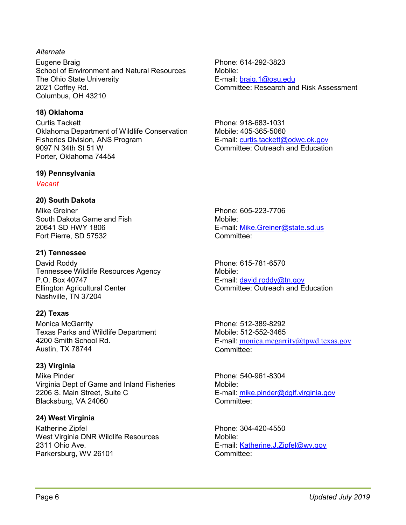#### *Alternate*

Eugene Braig School of Environment and Natural Resources The Ohio State University 2021 Coffey Rd. Columbus, OH 43210

## **18) Oklahoma**

Curtis Tackett Oklahoma Department of Wildlife Conservation Fisheries Division, ANS Program 9097 N 34th St 51 W Porter, Oklahoma 74454

#### **19) Pennsylvania**

*Vacant*

### **20) South Dakota**

Mike Greiner South Dakota Game and Fish 20641 SD HWY 1806 Fort Pierre, SD 57532

### **21) Tennessee**

David Roddy Tennessee Wildlife Resources Agency P.O. Box 40747 Ellington Agricultural Center Nashville, TN 37204

# **22) Texas**

Monica McGarrity Texas Parks and Wildlife Department 4200 Smith School Rd. Austin, TX 78744

# **23) Virginia**

Mike Pinder Virginia Dept of Game and Inland Fisheries 2206 S. Main Street, Suite C Blacksburg, VA 24060

# **24) West Virginia**

Katherine Zipfel West Virginia DNR Wildlife Resources 2311 Ohio Ave. Parkersburg, WV 26101

Phone: 614-292-3823 Mobile: E-mail: [braig.1@osu.edu](mailto:braig.1@osu.edu) Committee: Research and Risk Assessment

Phone: 918-683-1031 Mobile: 405-365-5060 E-mail: curtis.tackett@odwc.ok.gov Committee: Outreach and Education

Phone: 605-223-7706 Mobile: E-mail: [Mike.Greiner@state.sd.us](mailto:Mike.Greiner@state.sd.us) Committee:

Phone: 615-781-6570 Mobile: E-mail: [david.roddy@tn.gov](mailto:david.roddy@tn.gov) Committee: Outreach and Education

Phone: 512-389-8292 Mobile: 512-552-3465 E-mail: [monica.mcgarrity@tpwd.texas.gov](mailto:monica.mcgarrity@tpwd.texas.gov) Committee:

Phone: 540-961-8304 Mobile: E-mail: [mike.pinder@dgif.virginia.gov](mailto:mike.pinder@dgif.virginia.gov) Committee:

Phone: 304-420-4550 Mobile: E-mail: [Katherine.J.Zipfel@wv.gov](mailto:Katherine.J.Zipfel@wv.gov) Committee: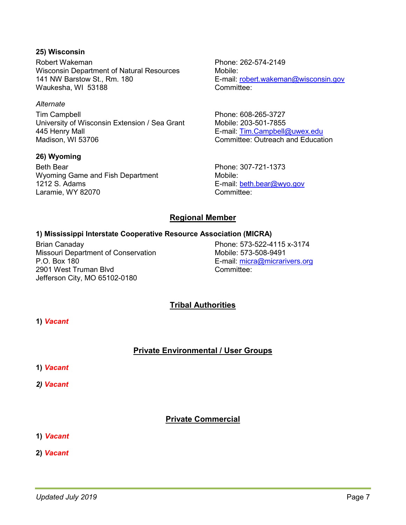#### **25) Wisconsin**

Robert Wakeman Wisconsin Department of Natural Resources 141 NW Barstow St., Rm. 180 Waukesha, WI 53188

#### *Alternate*

Tim Campbell University of Wisconsin Extension / Sea Grant 445 Henry Mall Madison, WI 53706

#### **26) Wyoming**

Beth Bear Wyoming Game and Fish Department 1212 S. Adams Laramie, WY 82070

Phone: 262-574-2149 Mobile: E-mail: [robert.wakeman@wisconsin.gov](mailto:robert.wakeman@wisconsin.gov) Committee:

Phone: 608-265-3727 Mobile: 203-501-7855 E-mail: [Tim.Campbell@uwex.edu](mailto:Tim.Campbell@uwex.edu) Committee: Outreach and Education

Phone: 307-721-1373 Mobile: E-mail: [beth.bear@wyo.gov](mailto:beth.bear@wyo.gov) Committee:

### **Regional Member**

#### **1) Mississippi Interstate Cooperative Resource Association (MICRA)**

Brian Canaday Missouri Department of Conservation P.O. Box 180 2901 West Truman Blvd Jefferson City, MO 65102-0180

Phone: 573-522-4115 x-3174 Mobile: 573-508-9491 E-mail: [micra@micrarivers.org](mailto:micra@micrarivers.org) Committee:

# **Tribal Authorities**

**1)** *Vacant*

# **Private Environmental / User Groups**

**1)** *Vacant*

*2) Vacant*

# **Private Commercial**

- **1)** *Vacant*
- **2)** *Vacant*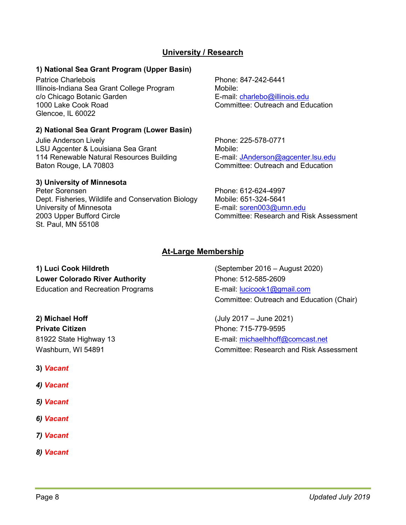# **University / Research**

#### **1) National Sea Grant Program (Upper Basin)**

Patrice Charlebois Illinois-Indiana Sea Grant College Program c/o Chicago Botanic Garden 1000 Lake Cook Road Glencoe, IL 60022

#### **2) National Sea Grant Program (Lower Basin)**

Julie Anderson Lively LSU Agcenter & Louisiana Sea Grant 114 Renewable Natural Resources Building Baton Rouge, LA 70803

#### **3) University of Minnesota**

Peter Sorensen Dept. Fisheries, Wildlife and Conservation Biology University of Minnesota 2003 Upper Bufford Circle St. Paul, MN 55108

Phone: 847-242-6441 Mobile: E-mail: [charlebo@illinois.edu](mailto:charlebo@uiuc.edu) Committee: Outreach and Education

Phone: 225-578-0771 Mobile: E-mail: [JAnderson@agcenter.lsu.edu](mailto:JAnderson@agcenter.lsu.edu) Committee: Outreach and Education

Phone: 612-624-4997 Mobile: 651-324-5641 E-mail: [soren003@umn.edu](mailto:soren003@umn.edu) Committee: Research and Risk Assessment

# **At-Large Membership**

**1) Luci Cook Hildreth** (September 2016 – August 2020) **Lower Colorado River Authority Match Coloration Phone: 512-585-2609** Education and Recreation Programs E-mail: [lucicook1@gmail.com](mailto:lucicook1@gmail.com)

**Private Citizen Phone: 715-779-9595** 

- **3)** *Vacant*
- *4) Vacant*
- *5) Vacant*
- *6) Vacant*
- *7) Vacant*
- *8) Vacant*

Committee: Outreach and Education (Chair)

**2) Michael Hoff** (July 2017 – June 2021) 81922 State Highway 13 **E-mail:** [michaelhhoff@comcast.net](mailto:michaelhhoff@comcast.net) Washburn, WI 54891 Committee: Research and Risk Assessment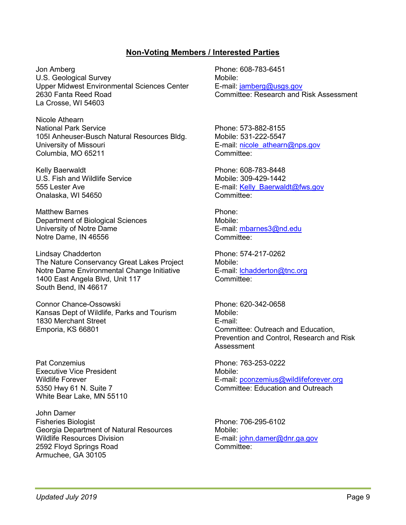## **Non-Voting Members / Interested Parties**

Jon Amberg U.S. Geological Survey Upper Midwest Environmental Sciences Center 2630 Fanta Reed Road La Crosse, WI 54603

Nicole Athearn National Park Service 105I Anheuser-Busch Natural Resources Bldg. University of Missouri Columbia, MO 65211

Kelly Baerwaldt U.S. Fish and Wildlife Service 555 Lester Ave Onalaska, WI 54650

Matthew Barnes Department of Biological Sciences University of Notre Dame Notre Dame, IN 46556

Lindsay Chadderton The Nature Conservancy Great Lakes Project Notre Dame Environmental Change Initiative 1400 East Angela Blvd, Unit 117 South Bend, IN 46617

Connor Chance-Ossowski Kansas Dept of Wildlife, Parks and Tourism 1830 Merchant Street Emporia, KS 66801

Pat Conzemius Executive Vice President Wildlife Forever 5350 Hwy 61 N. Suite 7 White Bear Lake, MN 55110

John Damer Fisheries Biologist Georgia Department of Natural Resources Wildlife Resources Division 2592 Floyd Springs Road Armuchee, GA 30105

Phone: 608-783-6451 Mobile: E-mail: [jamberg@usgs.gov](mailto:jamberg@usgs.gov) Committee: Research and Risk Assessment

Phone: 573-882-8155 Mobile: 531-222-5547 E-mail: [nicole\\_athearn@nps.gov](mailto:nicole_athearn@nps.gov) Committee:

Phone: 608-783-8448 Mobile: 309-429-1442 E-mail: Kelly\_Baerwaldt@fws.gov Committee:

Phone: Mobile: E-mail: [mbarnes3@nd.edu](mailto:mbarnes3@nd.edu) Committee:

Phone: 574-217-0262 Mobile: E-mail: [lchadderton@tnc.org](mailto:lchadderton@tnc.org) Committee:

Phone: 620-342-0658 Mobile: E-mail: Committee: Outreach and Education, Prevention and Control, Research and Risk **Assessment** 

Phone: 763-253-0222 Mobile: E-mail: [pconzemius@wildlifeforever.org](mailto:pconzemius@wildlifeforever.org) Committee: Education and Outreach

Phone: 706-295-6102 Mobile: E-mail: [john.damer@dnr.ga.gov](mailto:john.damer@dnr.ga.gov) Committee: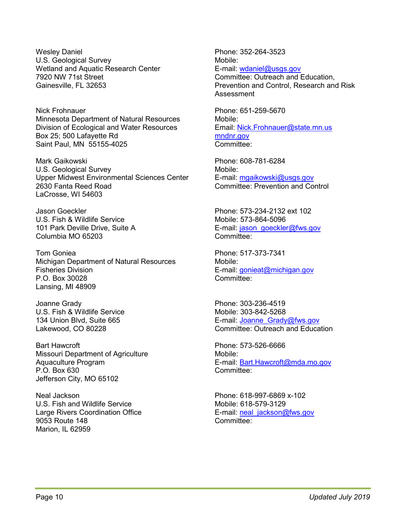Wesley Daniel U.S. Geological Survey Wetland and Aquatic Research Center 7920 NW 71st Street Gainesville, FL 32653

Nick Frohnauer Minnesota Department of Natural Resources Division of Ecological and Water Resources Box 25; 500 Lafayette Rd Saint Paul, MN 55155-4025

Mark Gaikowski U.S. Geological Survey Upper Midwest Environmental Sciences Center 2630 Fanta Reed Road LaCrosse, WI 54603

Jason Goeckler U.S. Fish & Wildlife Service 101 Park Deville Drive, Suite A Columbia MO 65203

Tom Goniea Michigan Department of Natural Resources Fisheries Division P.O. Box 30028 Lansing, MI 48909

Joanne Grady U.S. Fish & Wildlife Service 134 Union Blvd, Suite 665 Lakewood, CO 80228

Bart Hawcroft Missouri Department of Agriculture Aquaculture Program P.O. Box 630 Jefferson City, MO 65102

Neal Jackson U.S. Fish and Wildlife Service Large Rivers Coordination Office 9053 Route 148 Marion, IL 62959

Phone: 352-264-3523 Mobile: E-mail: [wdaniel@usgs.gov](mailto:wdaniel@usgs.gov)

Committee: Outreach and Education, Prevention and Control, Research and Risk Assessment

Phone: 651-259-5670 Mobile: Email: [Nick.Frohnauer@state.mn.us](mailto:Nick.Frohnauer@state.mn.us) [mndnr.gov](http://mndnr.gov/) Committee:

Phone: 608-781-6284 Mobile: E-mail: [mgaikowski@usgs.gov](mailto:mgaikowski@usgs.gov) Committee: Prevention and Control

Phone: 573-234-2132 ext 102 Mobile: 573-864-5096 E-mail: [jason\\_goeckler@fws.gov](mailto:jason_goeckler@fws.gov) Committee:

Phone: 517-373-7341 Mobile: E-mail: [gonieat@michigan.gov](mailto:gonieat@michigan.gov) Committee:

Phone: 303-236-4519 Mobile: 303-842-5268 E-mail: [Joanne\\_Grady@fws.gov](mailto:Joanne_Grady@fws.gov) Committee: Outreach and Education

Phone: 573-526-6666 Mobile: E-mail: [Bart.Hawcroft@mda.mo.gov](mailto:Bart.Hawcroft@mda.mo.gov) Committee:

Phone: 618-997-6869 x-102 Mobile: 618-579-3129 E-mail: [neal\\_jackson@fws.gov](mailto:neal_jackson@fws.gov) Committee: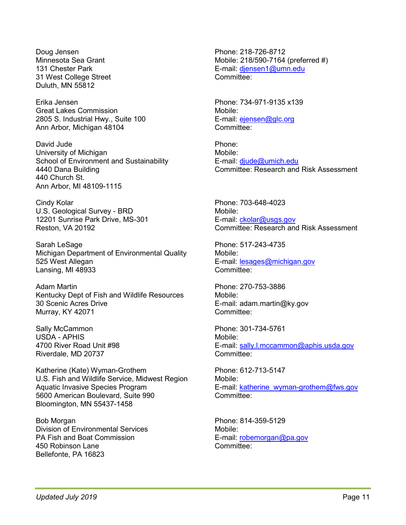Doug Jensen Minnesota Sea Grant 131 Chester Park 31 West College Street Duluth, MN 55812

Erika Jensen Great Lakes Commission 2805 S. Industrial Hwy., Suite 100 Ann Arbor, Michigan 48104

David Jude University of Michigan School of Environment and Sustainability 4440 Dana Building 440 Church St. Ann Arbor, MI 48109-1115

Cindy Kolar U.S. Geological Survey - BRD 12201 Sunrise Park Drive, MS-301 Reston, VA 20192

Sarah LeSage Michigan Department of Environmental Quality 525 West Allegan Lansing, MI 48933

Adam Martin Kentucky Dept of Fish and Wildlife Resources 30 Scenic Acres Drive Murray, KY 42071

Sally McCammon USDA - APHIS 4700 River Road Unit #98 Riverdale, MD 20737

Katherine (Kate) Wyman-Grothem U.S. Fish and Wildlife Service, Midwest Region Aquatic Invasive Species Program 5600 American Boulevard, Suite 990 Bloomington, MN 55437-1458

Bob Morgan Division of Environmental Services PA Fish and Boat Commission 450 Robinson Lane Bellefonte, PA 16823

Phone: 218-726-8712 Mobile: 218/590-7164 (preferred #) E-mail: [djensen1@umn.edu](mailto:djensen1@umn.edu) Committee:

Phone: 734-971-9135 x139 Mobile: E-mail: [ejensen@glc.org](mailto:ejensen@glc.org) Committee:

Phone: Mobile: E-mail: [djude@umich.edu](mailto:djude@umich.edu) Committee: Research and Risk Assessment

Phone: 703-648-4023 Mobile: E-mail: [ckolar@usgs.gov](mailto:ckolar@usgs.gov) Committee: Research and Risk Assessment

Phone: 517-243-4735 Mobile: E-mail: [lesages@michigan.gov](mailto:lesages@michigan.gov) Committee:

Phone: 270-753-3886 Mobile: E-mail: adam.martin@ky.gov Committee:

Phone: 301-734-5761 Mobile: E-mail: [sally.l.mccammon@aphis.usda.gov](mailto:sally.l.mccammon@aphis.usda.gov) Committee:

Phone: 612-713-5147 Mobile: E-mail: [katherine\\_wyman-grothem@fws.gov](mailto:katherine_wyman-grothem@fws.gov) Committee:

Phone: 814-359-5129 Mobile: E-mail: [robemorgan@pa.gov](mailto:robemorgan@pa.gov) Committee: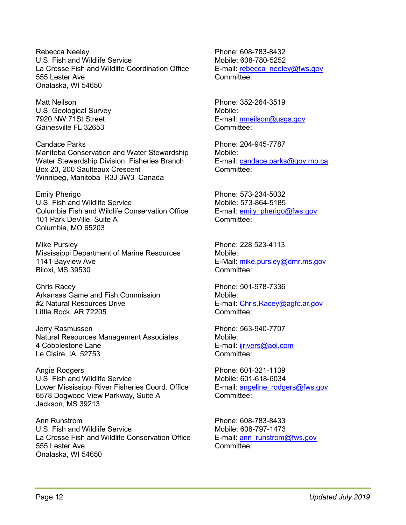Rebecca Neeley U.S. Fish and Wildlife Service La Crosse Fish and Wildlife Coordination Office 555 Lester Ave Onalaska, WI 54650

Matt Neilson U.S. Geological Survey 7920 NW 71St Street Gainesville FL 32653

Candace Parks Manitoba Conservation and Water Stewardship Water Stewardship Division, Fisheries Branch Box 20, 200 Saulteaux Crescent Winnipeg, Manitoba R3J 3W3 Canada

Emily Pherigo U.S. Fish and Wildlife Service Columbia Fish and Wildlife Conservation Office 101 Park DeVille, Suite A Columbia, MO 65203

Mike Pursley Mississippi Department of Marine Resources 1141 Bayview Ave Biloxi, MS 39530

Chris Racey Arkansas Game and Fish Commission #2 Natural Resources Drive Little Rock, AR 72205

Jerry Rasmussen Natural Resources Management Associates 4 Cobblestone Lane Le Claire, IA 52753

Angie Rodgers U.S. Fish and Wildlife Service Lower Mississippi River Fisheries Coord. Office 6578 Dogwood View Parkway, Suite A Jackson, MS 39213

Ann Runstrom U.S. Fish and Wildlife Service La Crosse Fish and Wildlife Conservation Office 555 Lester Ave Onalaska, WI 54650

Phone: 608-783-8432 Mobile: 608-780-5252 E-mail: [rebecca\\_neeley@fws.gov](mailto:rebecca_neeley@fws.gov) Committee:

Phone: 352-264-3519 Mobile: E-mail: [mneilson@usgs.gov](mailto:mneilson@usgs.gov) Committee:

Phone: 204-945-7787 Mobile: E-mail: [candace.parks@gov.mb.ca](mailto:candace.parks@gov.mb.ca) Committee:

Phone: 573-234-5032 Mobile: 573-864-5185 E-mail: [emily\\_pherigo@fws.gov](mailto:emily_pherigo@fws.gov) Committee:

Phone: 228 523-4113 Mobile: E-Mail: [mike.pursley@dmr.ms.gov](mailto:mike.pursley@dmr.ms.gov) Committee:

Phone: 501-978-7336 Mobile: E-mail: [Chris.Racey@agfc.ar.gov](mailto:Chris.Racey@agfc.ar.gov) Committee:

Phone: 563-940-7707 Mobile: E-mail: [ijrivers@aol.com](mailto:ijrivers@aol.com) Committee:

Phone: 601-321-1139 Mobile: 601-618-6034 E-mail: [angeline\\_rodgers@fws.gov](mailto:angeline_rodgers@fws.gov) Committee:

Phone: 608-783-8433 Mobile: 608-797-1473 E-mail: [ann\\_runstrom@fws.gov](mailto:ann_runstrom@fws.gov) Committee: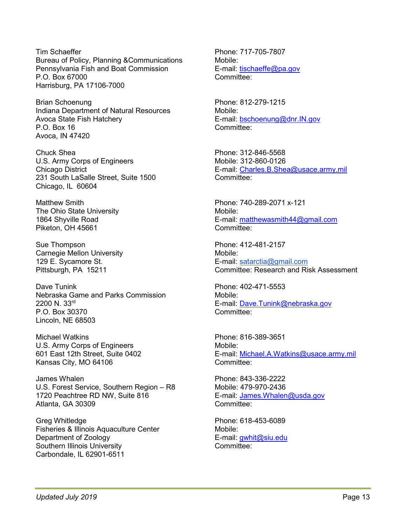Tim Schaeffer Bureau of Policy, Planning &Communications Pennsylvania Fish and Boat Commission P.O. Box 67000 Harrisburg, PA 17106-7000

Brian Schoenung Indiana Department of Natural Resources Avoca State Fish Hatchery P.O. Box 16 Avoca, IN 47420

Chuck Shea U.S. Army Corps of Engineers Chicago District 231 South LaSalle Street, Suite 1500 Chicago, IL 60604

Matthew Smith The Ohio State University 1864 Shyville Road Piketon, OH 45661

Sue Thompson Carnegie Mellon University 129 E. Sycamore St. Pittsburgh, PA 15211

Dave Tunink Nebraska Game and Parks Commission 2200 N. 33rd P.O. Box 30370 Lincoln, NE 68503

Michael Watkins U.S. Army Corps of Engineers 601 East 12th Street, Suite 0402 Kansas City, MO 64106

James Whalen U.S. Forest Service, Southern Region – R8 1720 Peachtree RD NW, Suite 816 Atlanta, GA 30309

Greg Whitledge Fisheries & Illinois Aquaculture Center Department of Zoology Southern Illinois University Carbondale, IL 62901-6511

Phone: 717-705-7807 Mobile: E-mail: [tischaeffe@pa.gov](mailto:tischaeffe@pa.gov) Committee:

Phone: 812-279-1215 Mobile: E-mail: [bschoenung@dnr.IN.gov](mailto:bschoenung@dnr.IN.gov) Committee:

Phone: 312-846-5568 Mobile: 312-860-0126 E-mail: [Charles.B.Shea@usace.army.mil](mailto:Charles.B.Shea@usace.army.mil) Committee:

Phone: 740-289-2071 x-121 Mobile: E-mail: [matthewasmith44@gmail.com](mailto:matthewasmith44@gmail.com) Committee:

Phone: 412-481-2157 Mobile: E-mail: [satarctia@gmail.com](mailto:satarctia@gmail.com) Committee: Research and Risk Assessment

Phone: 402-471-5553 Mobile: E-mail: [Dave.Tunink@nebraska.gov](mailto:Dave.Tunink@nebraska.gov) Committee:

Phone: 816-389-3651 Mobile: E-mail: [Michael.A.Watkins@usace.army.mil](mailto:Michael.A.Watkins@usace.army.mil) Committee:

Phone: 843-336-2222 Mobile: 479-970-2436 E-mail: [James.Whalen@usda.gov](mailto:James.Whalen@usda.gov) Committee:

Phone: 618-453-6089 Mobile: E-mail: [gwhit@siu.edu](mailto:gwhit@siu.edu) Committee: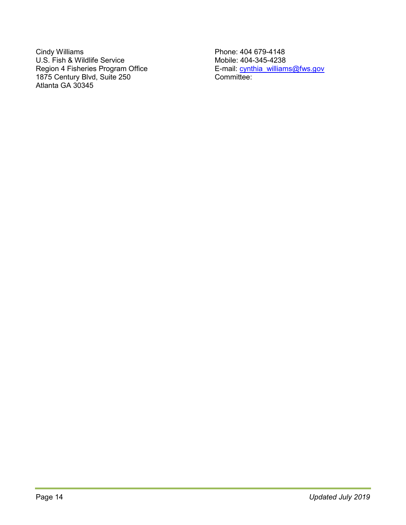Cindy Williams U.S. Fish & Wildlife Service Region 4 Fisheries Program Office 1875 Century Blvd, Suite 250 Atlanta GA 30345

Phone: 404 679-4148 Mobile: 404-345-4238 E-mail: [cynthia\\_williams@fws.gov](mailto:cynthia_williams@fws.gov) Committee: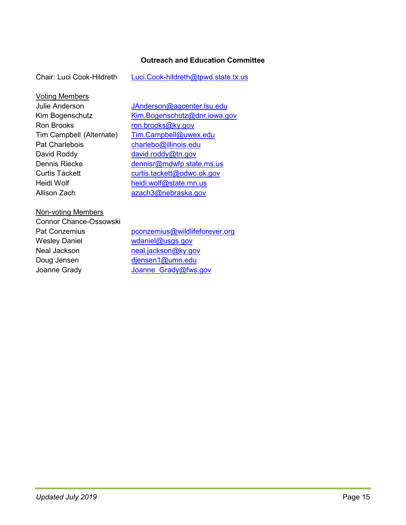#### **Outreach and Education Committee**

| Chair: Luci Cook-Hildreth<br>Luci.Cook-hildreth@tpwd.state.tx.us |
|------------------------------------------------------------------|
|------------------------------------------------------------------|

Voting Members Ron Brooks [ron.brooks@ky.gov](mailto:ron.brooks@ky.gov) Pat Charlebois [charlebo@illinois.edu](mailto:charlebo@uiuc.edu) David Roddy [david.roddy@tn.gov](mailto:david.roddy@tn.gov) Heidi Wolf [heidi.wolf@state.mn.us](mailto:heidi.wolf@state.mn.us)

Julie Anderson [JAnderson@agcenter.lsu.edu](mailto:JAnderson@agcenter.lsu.edu) Kim Bogenschutz [Kim.Bogenschutz@dnr.iowa.gov](mailto:Kim.Bogenschutz@dnr.iowa.gov) Tim Campbell (Alternate) [Tim.Campbell@uwex.edu](mailto:Tim.Campbell@uwex.edu) Dennis Riecke [dennisr@mdwfp.state.ms.us](mailto:dennisr@mdwfp.state.ms.us) Curtis Tackett [curtis.tackett@odwc.ok.gov](mailto:curtis.tackett@odwc.ok.gov) Allison Zach [azach3@nebraska.gov](mailto:azach3@nebraska.gov)

#### Non-voting Members

| <b>Connor Chance-Ossowski</b> |                                |
|-------------------------------|--------------------------------|
| <b>Pat Conzemius</b>          | pconzemius@wildlifeforever.org |
| <b>Wesley Daniel</b>          | wdaniel@usgs.gov               |
| Neal Jackson                  | neal.jackson@ky.gov            |
| Doug Jensen                   | djensen1@umn.edu               |
| Joanne Grady                  | Joanne Grady@fws.gov           |
|                               |                                |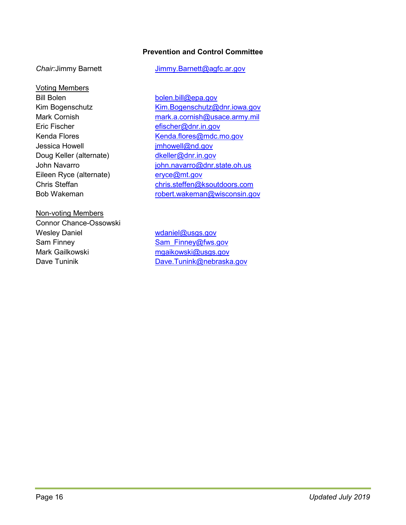### **Prevention and Control Committee**

#### Voting Members

Bill Bolen [bolen.bill@epa.gov](mailto:bolen.bill@epa.gov) Eric Fischer [efischer@dnr.in.gov](mailto:efischer@dnr.in.gov) Jessica Howell **imhowell@nd.gov** Doug Keller (alternate) [dkeller@dnr.in.gov](mailto:dkeller@dnr.in.gov) Eileen Ryce (alternate) [eryce@mt.gov](mailto:eryce@mt.gov)

#### Non-voting Members

Connor Chance-Ossowski Wesley Daniel **Wesley Daniel Wesley Daniel** Wesley Daniel Wesley Burner Wesley Burner Wesley Burner Wesley American Sam Finney Sam Finney@fws.gov Mark Gailkowski metal musikowski@usgs.gov

#### **Chair:Jimmy Barnett** [Jimmy.Barnett@agfc.ar.gov](mailto:Jimmy.Barnett@agfc.ar.gov)

Kim Bogenschutz [Kim.Bogenschutz@dnr.iowa.gov](mailto:Kim.Bogenschutz@dnr.iowa.gov) Mark Cornish [mark.a.cornish@usace.army.mil](mailto:mark.a.cornish@usace.army.mil) Kenda Flores [Kenda.flores@mdc.mo.gov](mailto:Kenda.flores@mdc.mo.gov) John Navarro **ighter in the state of the state of the state** of the state of the state of the state of the state Chris Steffan [chris.steffen@ksoutdoors.com](mailto:chris.steffen@ksoutdoors.com) Bob Wakeman **[robert.wakeman@wisconsin.gov](mailto:robert.wakeman@wisconsin.gov)** 

Dave Tuninik [Dave.Tunink@nebraska.gov](mailto:Dave.Tunink@nebraska.gov)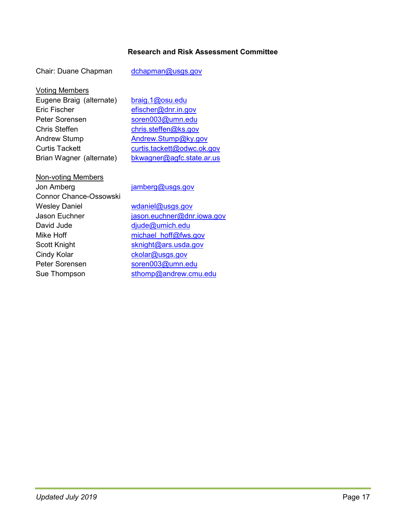# **Research and Risk Assessment Committee**

Chair: Duane Chapman [dchapman@usgs.gov](mailto:dchapman@usgs.gov)

Voting Members

| Eugene Braig (alternate) | braig.1@osu.edu            |
|--------------------------|----------------------------|
| <b>Eric Fischer</b>      | efischer@dnr.in.gov        |
| Peter Sorensen           | soren003@umn.edu           |
| <b>Chris Steffen</b>     | chris.steffen@ks.gov       |
| <b>Andrew Stump</b>      | Andrew.Stump@ky.gov        |
| <b>Curtis Tackett</b>    | curtis.tackett@odwc.ok.gov |
| Brian Wagner (alternate) | bkwagner@agfc.state.ar.us  |

| <b>Non-voting Members</b>     |                            |
|-------------------------------|----------------------------|
| Jon Amberg                    | jamberg@usgs.gov           |
| <b>Connor Chance-Ossowski</b> |                            |
| <b>Wesley Daniel</b>          | wdaniel@usgs.gov           |
| Jason Euchner                 | jason.euchner@dnr.iowa.gov |
| David Jude                    | $diude@$ umich.edu         |
| Mike Hoff                     | michael hoff@fws.gov       |
| Scott Knight                  | sknight@ars.usda.gov       |
| Cindy Kolar                   | ckolar@usgs.gov            |
| Peter Sorensen                | soren003@umn.edu           |
| Sue Thompson                  | sthomp@andrew.cmu.edu      |
|                               |                            |